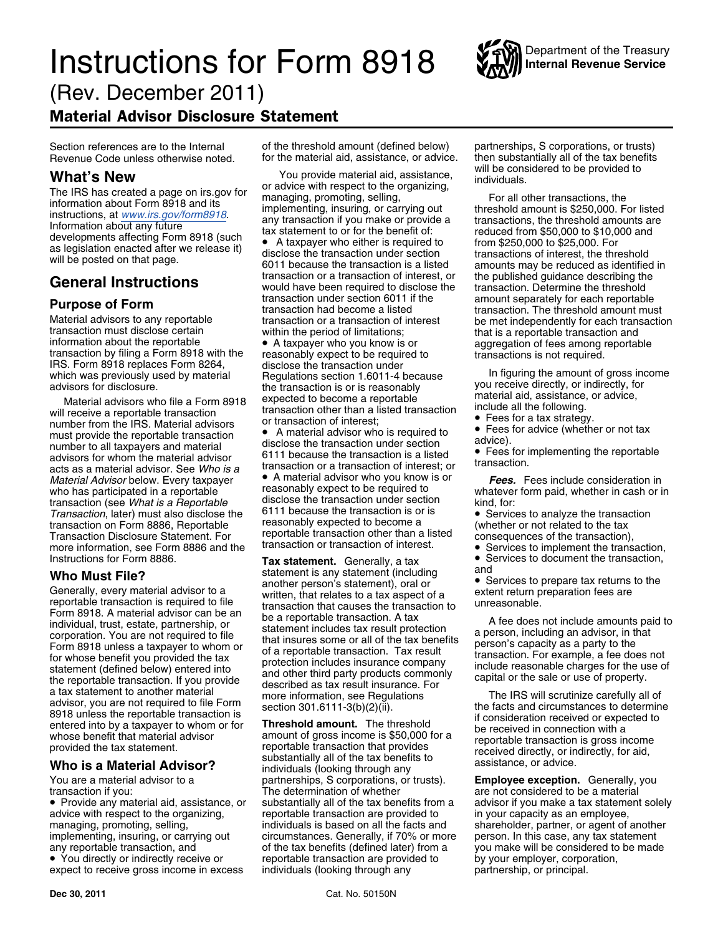# **Instructions for Form 8918** WAY Internal Revenue Service (Rev. December 2011)

## Material Advisor Disclosure Statement

Material advisors to any reportable transaction or a transaction of interest transaction must disclose certain within the period of limitations; that is a reportable transaction and information about the reportable **a** A t IRS. Form 8918 replaces Form 8264, disclose the transaction under<br>which was previously used by material Regulations section 1.6011-4 because In figuring the amount of gross income<br>advisors for disclosure. the transaction i

Fees for a tax strategy.<br>
Include all the following.<br>
Include all the following.<br>
Include all the following.<br>
Include all the following.<br>
Include all the following.<br>
Fees for a tax strategy.<br>
The stransaction of interest;<br> Ference to all tax must provide the reportable transaction<br>
number to all tax must provide transaction is required to advice).<br>
advisors for whom the material advisor 6111 because the transaction is a listed transaction<br> Ferencial the material advisors for the material advisors for transaction is a literal advisor of transaction is<br> *Material advisor* helow Every tax naver **Contability A** material advisor who you know is or **Fees F** *Material Advisor* below. Every taxpayer • A material advisor who you know is or *Fees.* Fees include consideration in<br>who has participated in a reportable reasonably expect to be required to whatever form paid, whether in transaction (see *What is a Reportable* disclose the transaction under section kind, for:<br>Transaction, later) must also disclose the 6111 because the transaction is or is **Conservation** Services to analyze the transaction *Transaction*, later) must also disclose the 6111 because the transaction is or is vervices to analyze the transaction on Form 8886, Reportable reasonably expected to become a vertion on Form 8886, Reportable reasonably ex transaction on Form 8886, Reportable reasonably expected to become a<br>Transaction Disclosure Statement For reportable transaction other than a listed Transaction Disclosure Statement. For reportable transaction other than a listed consequences of the transaction),<br>more information, see Form 8886 and the transaction or transaction of interest. <br>• Services to implement th more information, see Form 8886 and the Instructions for Form 8886.

**Who Must File?**<br>
Statement is any statement (including and visor to a statement is any statement (including a Services to prepare tax returns to the<br>
reportable transaction is required to file written, that relates to a

advice with respect to the organizing, exergentable transaction are provided to in your capacity as an employee, managing, promoting, selling, individuals is based on all the facts and shareholder, partner, or agent of another<br>implementing, insuring, or carrying out circumstances. Generally, if 70% or more person. In this case, any t implementing, insuring, or carrying out circumstances. Generally, if 70% or more any reportable transaction, and of the tax benefits (defined later) from a • You directly or indirectly receive or

expect to receive gross income in excess

Section references are to the Internal of the threshold amount (defined below) partnerships, S corporations, or trusts)

What's New<br>
The IRS has created a page on irs.gov for<br>
information about Form 8918 and its<br>
information about Form 8918 and its<br>
information about Form 8918 and its<br>
information about any future<br>
Information about any futu **General Instructions** transaction or a transaction of interest, or the published guidance describing the transaction. Determine the threshold **Purpose of Form Example 30** transaction under section 6011 if the amount separately for each reportable transaction had become a listed transaction. The threshold amount must

advisors for disclosure. <br>
Material advisors who file a Form 8918 expected to become a reportable<br>
will receive a reportable transaction<br>
will receive a reportable transaction<br>
will receive a reportable transaction<br>
will r

You are a material advisor to a partnerships, S corporations, or trusts). **Employee exception.** Generally, you transaction if you: **The determination of whether** are not considered to be a material The determination of whether are not considered to be a material<br>substantially all of the tax benefits from a advisor if you make a tax statemen reportable transaction are provided to by your employer, corporation, individuals (looking through any partnership, or principal.

Department of the Treasury

- 
- 
- 

reasonably expect to be required to whatever form paid, whether in cash or in<br>disclose the transaction under section kind for:

Tax statement. Generally, a tax **•** Services to document the transaction,<br>statement is any statement (including and

• Provide any material aid, assistance, or substantially all of the tax benefits from a advisor if you make a tax statement solely you make will be considered to be made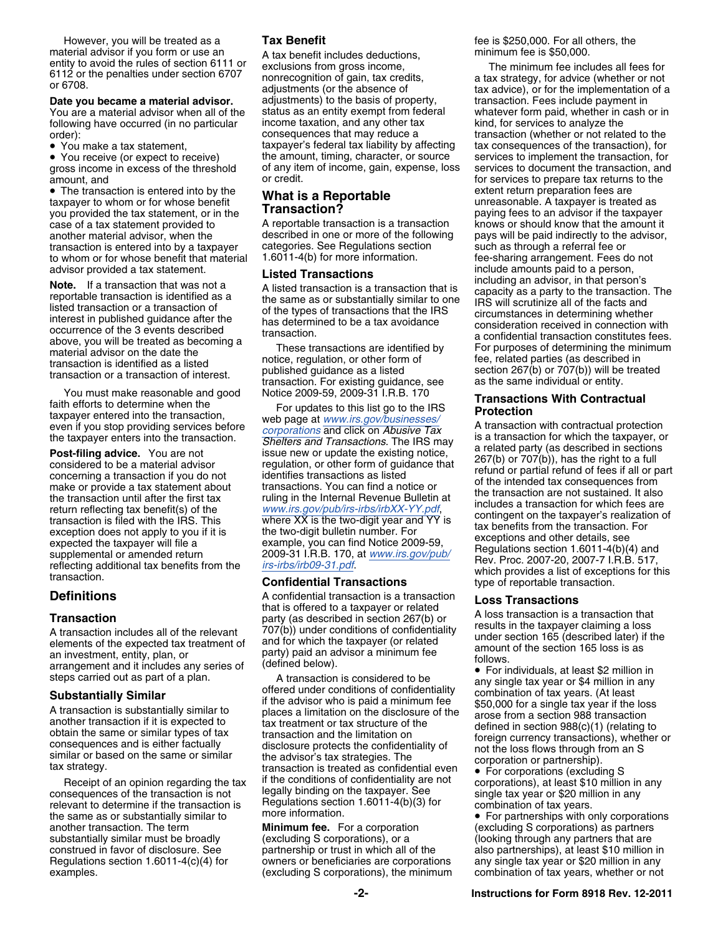However, you will be treated as a **Tax Benefit Fig. 2008 For all others, the is \$250,000. For all others, the** material advisor if you form or use an A tax benefit includes deductions, minimum fee is \$50,000.<br>
entity to avoid the rules of section 6111 or exclusions from gross income, The minimum fee incl

You are a material advisor when all of the status as an entity exempt from fed<br>following have occurred (in no particular income taxation, and any other tax

• You make a tax statement,

• You receive (or expect to receive) gross income in excess of the threshold of any ite<br>amount, and or credit.

• The transaction is entered into by the • The transaction is entered into by the **What is a Reportable** extent return preparation fees are taxpayer to whom or for whose benefit **What is a Reportable the contrast of the taxpayer is treated as**  $\frac{1}{2}$ you provided the tax statement, or in the **Transaction?** Paying fees to an advisor if the taxpayer<br>Case of a tax statement provided to A reportable transaction is a transaction knows or should know that the amount it case of a tax statement provided to  $\blacksquare$  A reportable transaction is a transaction knows or should know that the amount it another material advisor, when the described in one or more of the following pays will be paid indirectly to the advisor, transaction is entered into by a taxpayer categories. See Regulations section such as through a refe transaction is entered into by a taxpayer categories. See Regulations section such as through a referral fee or<br>to whom or for whose benefit that material 1.6011-4(b) for more information. The e-sharing arrangement. Fees d to whom or for whose benefit that material

Receipt of an opinion regarding the tax if the conditions of confidentiality are not<br>consequences of the transaction is not<br>relevant to determine if the transaction is<br>relevant to determine if the transaction is<br>the same a another transaction. The term **Minimum fee.** For a corporation (excluding S corporations) as partners construed in favor of disclosure. See partnership or trust in which all of the also partnerships), at least \$10 million in Regulations section 1.6011-4(c)(4) for owners or beneficiaries are corporations any single tax year or \$20 million in any<br>examples. examples (excluding S corporations), the minimum combination of tax years, whether or not examples. The minimum combination of the minimum component of the minimum combination of the minimum combination of the minimum combination of the minimum combination of the minimum combination of the minimum combination o

entity to avoid the rules of section 6111 of exclusions from gross income,<br>
6112 or the penalties under section 6707 exclusions from gross income,<br>
or 6708.<br> **Date you became a material advisor.** adjustments) to the basis **Date you became a material advisor.** adjustments) to the basis of property, a transaction. Fees include payment in<br>You are a material advisor when all of the status as an entity exempt from federal whatever form paid, whe following have occurred (in no particular income taxation, and any other tax ind, for services to analyze the<br>consequences that may reduce a interval transaction (whether or not relat order):<br>• You make a tax statement. The transaction consequences that may reduce a transaction (whether or not related to the verticle of the transaction), for taxpayer's federal tax liability by affecting tax consequences of the transaction), for<br>the amount, timing, character, or source services to implement the transaction, for

**Definitions**<br> **Costaring a linguist Costaring a linguist Costaring a linguist Costaring a linguist Costaring a linguist Costaring a linguist Costaring a linguist Costaring a linguist Costaring a linguist Costaring a lingu** 

antangement and it includes any senes of the steps carried out as part of a plan.<br>
Substantially Similar and the divisor who is considered to be the steps carried out as part of a plan.<br>
A transaction is substantially simi

the amount, timing, character, or source services to implement the transaction, for<br>of any item of income, gain, expense, loss services to document the transaction, and for services to prepare tax returns to the advisor provided a tax statement.<br> **Note.** If a transaction that was not a<br>
including an advisor, in that person,<br>
including an advisor, in that person,<br>
including an advisor, in that person,<br>
including an advisor, in that

You must make reasonable and good<br>
Fail efforts to determine when the<br>
taxpayer entered into the transaction,<br>
fail efforts to determine when the<br>
taxpayer entered into the transaction,<br>
we bage at [www.irs.gov/businesses/](http://www.irs.gov/businesses/corporations)

• For corporations (excluding S<br>corporations), at least \$10 million in any

(looking through any partners that are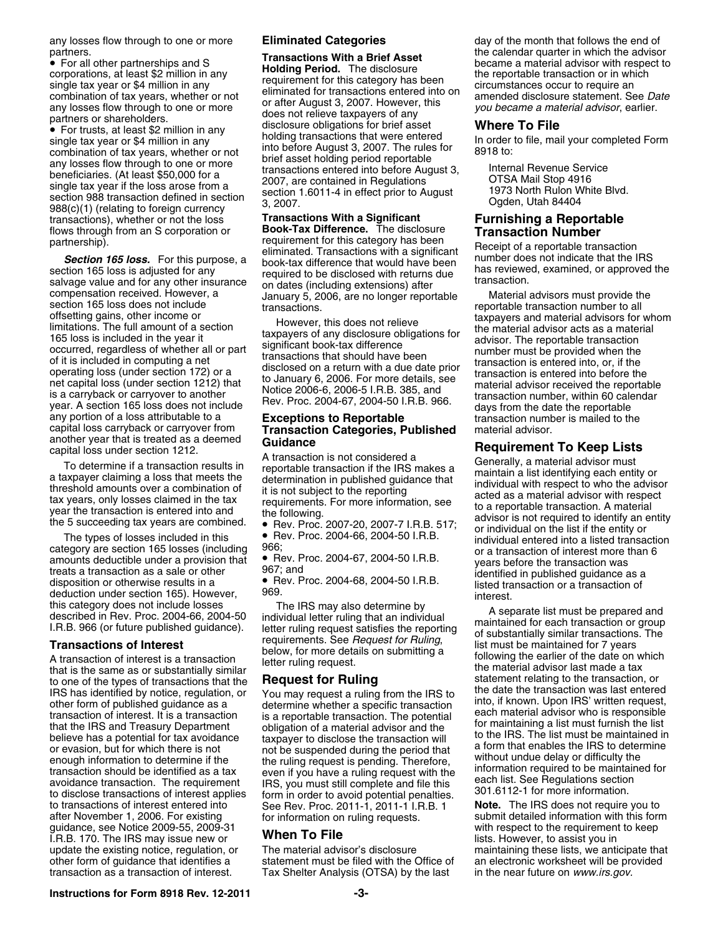• For trusts, at least \$2 million in any<br>
single tax year or \$4 million in any<br>
combination of tax years, whether or not<br>
any losses flow through to one or more<br>
single tax years, whether or not<br>
before August 3, 2007. Th 988(c)(1) (relating to foreign currency<br>
transactions), whether or not the loss **Transactions With a Significant**<br> **Furnishing a Reportable**<br> **Example 1998 (1)** Fransaction Mumber<br> **Example 1999 (1)** Fransaction Mumber flows through from an S corporation or **Book-Tax Difference.** The disclosure **Transaction Number**

section 165 loss is adjusted for any<br>
sequired to be disclosed with returns due<br>
compensation received. However, a<br>
compensation received. However, a<br>
compensation received. However, a<br>
compensation received. However, a<br>
e any portion of a loss attributable to a<br>
capital loss carryback or carryover from **Transaction Categories, Published** material advisor.<br>
another year that is treated as a deemed **Cuidance** 

category are section 165 losses (including  $966$ ;<br>amounts deductible under a provision that  $\bullet$  Rev. Proc. 2004-67, 2004-50 I.R.B. vears before the transaction was amounts deductible under a provision that <br>treats a transaction as a sale or other 967; and<br>disposition or otherwise results in a exercise exercise a sale or other<br>disposition or otherwise results in a exercise exercise an disposition or otherwise results in a<br>deduction under section 165). However, 969.<br>this category does not include losses The IRS may also determine by a senarch list must be assessed

after November 1, 2006. For existing for information on ruling requests. Submit detailed information with this form<br>guidance, see Notice 2009-55, 2009-31 guidance, see Notice 2009-55, 2009-31 **When To File** the setting with respect to the requirement under the requirement to **Keep and To File** to the respect to the requirement to the requirement of the setting of the top of I.R.B. 170. The IRS may issue new or update the existing notice, regulation, or The material advisor's disclosure maintaining these lists, we anticipate that other form of guidance that identifies a statement must be filed with the Office of an electronic wor other form of guidance that identifies a statement must be filed with the Office of an electronic worksheet will be provided transaction of interest. Tax Shelter Analysis (OTSA) by the last in the near future on www.irs.go

• For all other partnerships and S<br>
corporations, at least \$2 million in any<br>
single tax year or \$4 million in any<br>
single tax years or \$4 million in any<br>
combination of tax years, whether or not<br>
eliminated for transacti

partnership).<br> **Section 165 loss.** For this purpose, a book-tax difference that does not importable transaction<br>
section 165 loss is adjusted for any<br>
section 165 loss is adjusted for any<br>
required to be disclosed with ret

- 
- 
- 
- 

Tax Shelter Analysis (OTSA) by the last in the near future on *www.irs.gov.* 

any losses flow through to one or more **Eliminated Categories** day of the month that follows the end of partners.<br>
• For all other partnerships and S<br> **Example 2** million in any **Transactions With a Brief Asset** became a material advisor with respect to<br>
the connections at least \$2 million in any **Holding Period.** The disclo

another year that is treated as a deemed<br>
To determine if a transaction results in<br>
a transaction is not considered a<br>
To determine if a transaction results in<br>
a taxpayer claiming a loss that meets the<br>
determination in p The B succeeding tax years are combined.<br>
The types of losses included in this entity or Rev. Proc. 2007-20, 2007-7 I.R.B. 517;<br>
The types of losses included in this entity or Rev. Proc. 2004-66, 2004-50 I.R.B.<br>
Category a

this category does not include losses<br>
described in Rev. Proc. 2004-66, 2004-50 individual letter ruling that an individual<br>
I.R.B. 966 (or future published guidance). letter ruling request satisfies the reporting of subst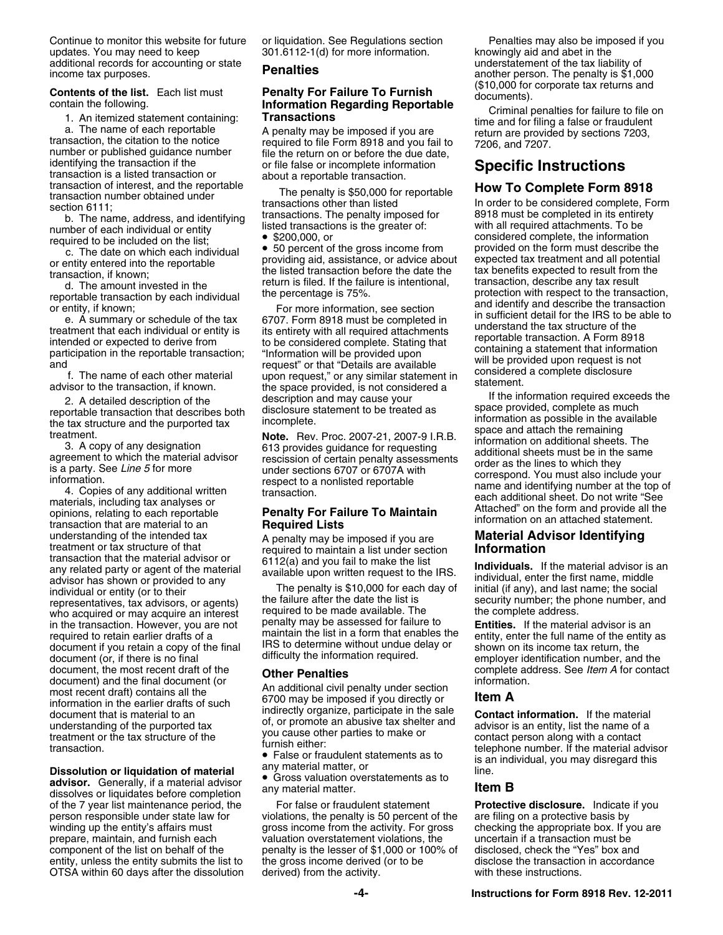Continue to monitor this website for future or liquidation. See Regulations section Penalties may also be imposed if you updates. You may need to keep 301.6112-1(d) for more information. <br>additional records for accounting or state **nonellies** additional records for accounting or state<br> **Penalties** income tax purposes. **Penalties** another person. The penalty is \$1,000

**Contents of the list.** Each list must<br>
contain the following.<br>
1. An itemized statement containing:<br>
1. An itemized statement containing:<br>
1. An itemized statement containing:<br>
1. An itemized statement containing:<br>
1. An

understanding of the intended tax A penalty may be imposed if you are **Material Advisor Identifying**<br>treatment or tax structure of that required to maintain a list under section **Information**<br>transaction that the material transaction that the material advisor or<br>any related party or agent of the material<br>advisor has shown or provided to any<br>individual, enter the first name, middle<br>individual or entity (or to their<br>individual or entity (or t document (or, if there is no final difficulty the information required. employer identification number, and the document, the most recent draft of the **Complete address.** See *Item A* for contact document) and the final document (or information and the final document (or information. most recent draft) contains all the An additional civil penalty under section<br>information in the earlier drafts of such 6700 may be imposed if you directly or Fraction. The term of the transaction. If the material document that is material to an<br>
information in the earlier drafts of such<br>
indirectly organize, participate in the sale<br>
indirectly organize, participate in the sale<br>

advisor. Generally, if a material advisor  $\bullet$  Gross valuation overstatements as to<br>dissolves or liquidates before completion any material matter.<br>of the 7 year list maintenance period, the For false or fraudulent statemen of the 7 year list maintenance period, the OTSA within 60 days after the dissolution

The penalty is \$10,000 for each day of initial (if any), and last name; the social the failure after the date the list is security number: the phone number, an representatives, tax advisors, or agents) the failure after the date the list is security number; the phone number, and<br>who acquired or may acquire an interest required to be made available. The state omplete address. who acquired or may acquire an interest required to be made available. The the complete address.<br>in the transaction. However, you are not penalty may be assessed for failure to **Entities.** If the material advisor is an in the transaction. However, you are not penalty may be assessed for failure to **Entity material and material advisor** per maintain the list in a form that enables the required to retain earlier drafts of a<br>document if you retain a copy of the final less to determine without undue delay or<br>document (or if there is no final less in a difficulty the information required.<br>document (or if th

person responsible under state law for violations, the penalty is 50 percent of the are filing on a protective basis by winding up the entity's affairs must gross income from the activity. For gross checking the appropriate box. If you are prepare, maintain, and furnish each valuation overstatement violations, the uncertain if a transaction valuation overstatement violations, the component of the list on behalf of the penalty is the lesser of \$1,000 or 100% of disclosed, check the "Yes" box and<br>entity, unless the entity submits the list to the gross income derived (or to be disclose the transaction entity, unless the entity submits the list to the gross income derived (or to be disclose the transaction in accordance<br>OTSA within 60 days after the dissolution derived) from the activity.

%200,000, or considered complete, the information c. The date on which each individual  $\bullet$  50 percent of the gross income from provided on the form must describe the c. The date on which each individual  $\bullet$  50 percent of C. The date on which each individual <br>
or the date on which each individual<br>
or entity entered into the reportable<br>
transaction, if known;<br>
a d. The amount invested in the<br>
d. The amount invested in the<br>
d. The amount inve

2. A detailed description of the description and may cause your<br>
reportable transaction that describes both disclosure statement to be treated as<br>
treatment to the axe information as possible in the available<br>
treatment.<br>

False or fraudulent statements as to the phone number. If the material advisor<br> **Dissolution or liquidation of material**<br> **Dissolution or liquidation of material**<br> **Conservation overstatements as to**<br> **Propervalution or li**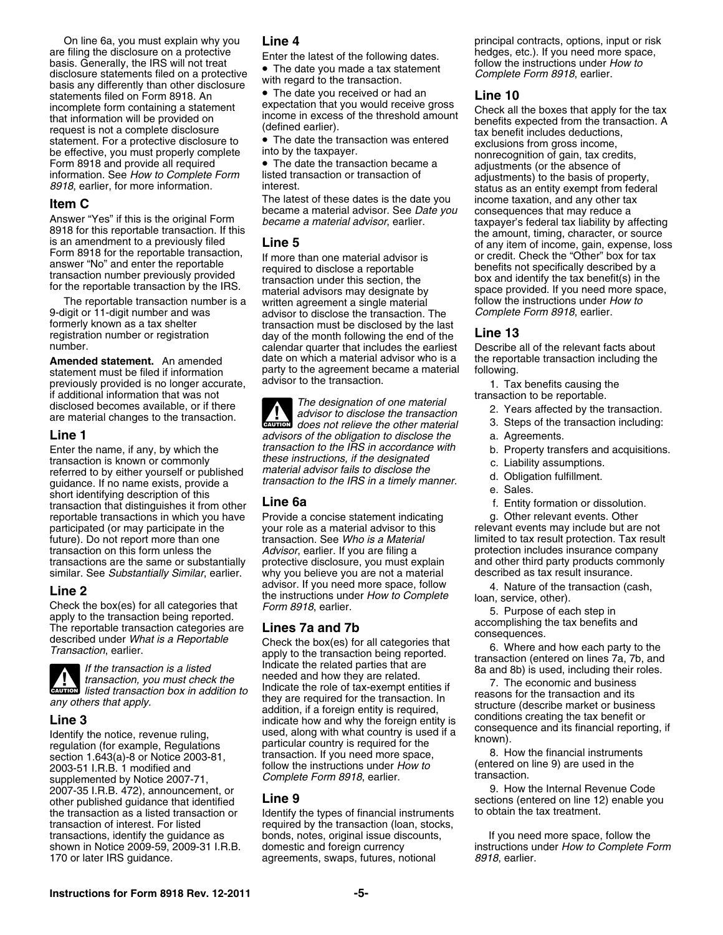are filing the disclosure on a protective heatest of the following dates.<br>
basis. Generally, the IRS will not treat **follow** the latest of the following dates.<br>
disclosure statements filed on a protective the instructions disclosure statements filed on a protective  $\overrightarrow{v}$  in the date you made a tax statement<br>basis any differently than other disclosure with regard to the transaction.<br>statements filed on Form 8918. An **C** The date you recei statements filed on Form 8918. An **•** The date you received or had an incomplete form containing a statement expectation that you would receive gross incomplete form containing a statement<br>
that information will be provided on<br>
request is not a complete disclosure<br>
the provided on<br>
texted from the transaction. A<br>
texted from the transaction. A<br>
texted from the transacti

9-digit or 11-digit number and was advisor to disclose the transaction. The *formerly known as a tax shelter* earlier. formerly known as a tax shelter end transaction must be disclosed by the last<br>registration number or registration end adv of the month following the end of the

previously provided is no longer accurate, advisor to the transaction. 1. Tax benefits causing the if additional information that was not if additional information that was not<br>disclosed becomes available, or if there<br>are material changes to the transaction.<br>are material changes to the transaction.

transaction is known or commonly<br>referred to by either yourself or published material advisor fails to disclose the<br>guidance. If no name exists, provide a transaction to the IRS in a timely manner.<br>e. Sales. e. Sales. short identifying description of this<br>
transaction that distinguishes it from other **Line 6a** f. Entity formation or dissolution.<br> **Entity formation or dissolution.**<br> **Entity formation or dissolution.**<br> **Entity f** reportable transactions in which you have participated (or may participate in the your role as a material advisor to this relevant events may include but are not<br>future). Do not report more than one transaction. See Who is a Material limited to tax result protecti future). Do not report more than one transaction. See *Who is a Material* limited to tax result protection. Tax result transaction on this form unless the *Advisor*, earlier. If you are filing a protection includes insuran transactions are the same or substantially protective disclosure, you must explain similar. See Substantially Similar, earlier. why you believe you are not a material similar. See *Substantially Similar*, earlier. why you believe you are not a material described as tax result insurance.

Line 2<br>
Check the box(es) for all categories that<br>
apply to the transaction being reported.<br>
The reportable transaction cash,<br>
apply to the transaction being reported.<br>
The reportable transaction categories are<br>
accomplish



*listed transaction box in addition to*

supplemented by Notice 2007-71, *Complete Form 8918*, earlier. **supplemented by Notice 2007-71,** supplemented by Notice 2007-71, supplement or and the internal Revenue Code 2007-35 I.R.B. 472), announcement, or **19. U.B. Equation 1.8 Code**<br>2007-35 I.R.B. 472), announcement, or **1.9. Line 9.** The Sections (entered on line 12) enable you other published guidance that identified<br>the transaction as a listed transaction or leterify the types of financial instruments to obtain the tax treatment.

answer "No" and enter the reportable<br>transaction number previously provided<br>fransaction inder this section, the the reportable transaction by the IRS.<br>for the reportable transaction by the IRS.<br>material advisors may design The reportable transaction number is a written agreement a single material follow the instructions under *How to*<br>9-digit or 11-digit number and was advisor to disclose the transaction. The Complete Form 8918, earlier. registration number or registration<br>
number of registration day of the month following the end of the **Line 13**<br>
calendar quarter that includes the earliest Describe calendar quarter that includes the earliest Describe all of the relevant facts about **Amended statement.** An amended date on which a material advisor who is a the reportable transaction including the statement must be filed if information party to the agreement became a material following. statement must be filed if information party to the agreement became a material previously provided is no longer accurate advisor to the transaction.

*does not relieve the transaction*<br> **EXECUTION** *does not relieve the other material* 3. Steps of the transaction including: **Line 1** *advisors of the obligation to disclose the* a. Agreements. Enter the name, if any, by which the *transaction to the IRS in accordance with* b. Property transfers and acquisitions.<br>
these instructions, if the designated

For the transaction and its they are required for the transaction. In *any others that apply.*<br> **Line 3** any others that apply.<br> **Line 3** any others that apply.<br> **Line 3** and why the foreign entity is required,<br>  $\frac{1}{2}$  **Line 3**<br>Identify the notice, revenue ruling, used, along with what country is used if a<br>regulation (for example, Regulations particular country is required for the consequence and its financial reporting, if<br>regulation (f transaction of the section 1.643(a)-8 or Notice 2003-81, transaction. If you need more space, and the section 1.643(a)-8 or Notice 2003-81, transaction. If you need more space, and the 2003-51 I.R.B. 1 modified and to the

the transaction as a listed transaction or Identify the types of financial instruments transaction of interest. For listed required by the transaction (loan, stocks, transactions, identify the guidance as bonds, notes, original issue discounts, bonds, notes, original issue discounts, If you need more space, follow the agreements, swaps, futures, notional *8918*, earlier.

On line 6a, you must explain why you **Line 4** principal contracts, options, input or risk

**Item C**<br>
Answer "Yes" if this is the original Form<br>
Answer "Yes" if this is the original Form<br>
Became a material advisor, earlier.<br>
Became a material advisor, earlier.<br>
Became a material advisor, earlier.<br>
Became a materi

- 
- 
- 
- 
- 
- 
- 
- 

protection includes insurance company<br>and other third party products commonly

shown in Notice 2009-59, 2009-31 I.R.B. domestic and foreign currency instructions under *How to Complete Form*